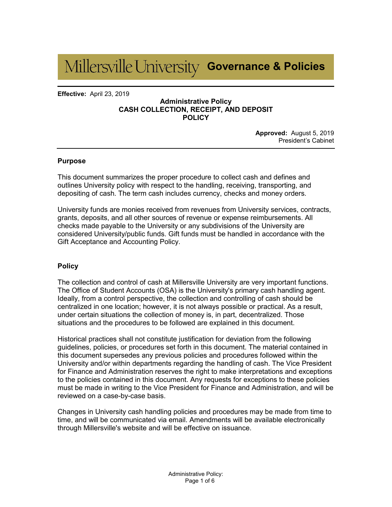# **Governance & Policies**

**Effective:** April 23, 2019

#### **Administrative Policy CASH COLLECTION, RECEIPT, AND DEPOSIT POLICY**

**Approved:** August 5, 2019 President's Cabinet

#### **Purpose**

This document summarizes the proper procedure to collect cash and defines and outlines University policy with respect to the handling, receiving, transporting, and depositing of cash. The term cash includes currency, checks and money orders.

University funds are monies received from revenues from University services, contracts, grants, deposits, and all other sources of revenue or expense reimbursements. All checks made payable to the University or any subdivisions of the University are considered University/public funds. Gift funds must be handled in accordance with the Gift Acceptance and Accounting Policy.

#### **Policy**

The collection and control of cash at Millersville University are very important functions. The Office of Student Accounts (OSA) is the University's primary cash handling agent. Ideally, from a control perspective, the collection and controlling of cash should be centralized in one location; however, it is not always possible or practical. As a result, under certain situations the collection of money is, in part, decentralized. Those situations and the procedures to be followed are explained in this document.

Historical practices shall not constitute justification for deviation from the following guidelines, policies, or procedures set forth in this document. The material contained in this document supersedes any previous policies and procedures followed within the University and/or within departments regarding the handling of cash. The Vice President for Finance and Administration reserves the right to make interpretations and exceptions to the policies contained in this document. Any requests for exceptions to these policies must be made in writing to the Vice President for Finance and Administration, and will be reviewed on a case-by-case basis.

Changes in University cash handling policies and procedures may be made from time to time, and will be communicated via email. Amendments will be available electronically through Millersville's website and will be effective on issuance.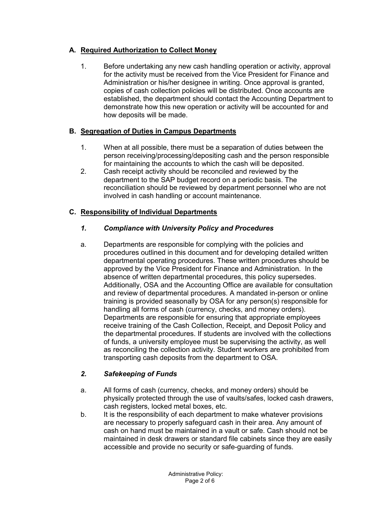## **A. Required Authorization to Collect Money**

1. Before undertaking any new cash handling operation or activity, approval for the activity must be received from the Vice President for Finance and Administration or his/her designee in writing. Once approval is granted, copies of cash collection policies will be distributed. Once accounts are established, the department should contact the Accounting Department to demonstrate how this new operation or activity will be accounted for and how deposits will be made.

#### **B. Segregation of Duties in Campus Departments**

- 1. When at all possible, there must be a separation of duties between the person receiving/processing/depositing cash and the person responsible for maintaining the accounts to which the cash will be deposited.
- 2. Cash receipt activity should be reconciled and reviewed by the department to the SAP budget record on a periodic basis. The reconciliation should be reviewed by department personnel who are not involved in cash handling or account maintenance.

## **C. Responsibility of Individual Departments**

## *1. Compliance with University Policy and Procedures*

a. Departments are responsible for complying with the policies and procedures outlined in this document and for developing detailed written departmental operating procedures. These written procedures should be approved by the Vice President for Finance and Administration. In the absence of written departmental procedures, this policy supersedes. Additionally, OSA and the Accounting Office are available for consultation and review of departmental procedures. A mandated in-person or online training is provided seasonally by OSA for any person(s) responsible for handling all forms of cash (currency, checks, and money orders). Departments are responsible for ensuring that appropriate employees receive training of the Cash Collection, Receipt, and Deposit Policy and the departmental procedures. If students are involved with the collections of funds, a university employee must be supervising the activity, as well as reconciling the collection activity. Student workers are prohibited from transporting cash deposits from the department to OSA.

#### *2. Safekeeping of Funds*

- a. All forms of cash (currency, checks, and money orders) should be physically protected through the use of vaults/safes, locked cash drawers, cash registers, locked metal boxes, etc.
- b. It is the responsibility of each department to make whatever provisions are necessary to properly safeguard cash in their area. Any amount of cash on hand must be maintained in a vault or safe. Cash should not be maintained in desk drawers or standard file cabinets since they are easily accessible and provide no security or safe-guarding of funds.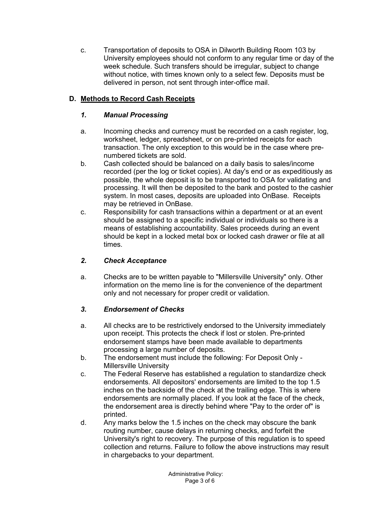c. Transportation of deposits to OSA in Dilworth Building Room 103 by University employees should not conform to any regular time or day of the week schedule. Such transfers should be irregular, subject to change without notice, with times known only to a select few. Deposits must be delivered in person, not sent through inter-office mail.

## **D. Methods to Record Cash Receipts**

## *1. Manual Processing*

- a. Incoming checks and currency must be recorded on a cash register, log, worksheet, ledger, spreadsheet, or on pre-printed receipts for each transaction. The only exception to this would be in the case where prenumbered tickets are sold.
- b. Cash collected should be balanced on a daily basis to sales/income recorded (per the log or ticket copies). At day's end or as expeditiously as possible, the whole deposit is to be transported to OSA for validating and processing. It will then be deposited to the bank and posted to the cashier system. In most cases, deposits are uploaded into OnBase. Receipts may be retrieved in OnBase.
- c. Responsibility for cash transactions within a department or at an event should be assigned to a specific individual or individuals so there is a means of establishing accountability. Sales proceeds during an event should be kept in a locked metal box or locked cash drawer or file at all times.

## *2. Check Acceptance*

a. Checks are to be written payable to "Millersville University" only. Other information on the memo line is for the convenience of the department only and not necessary for proper credit or validation.

#### *3. Endorsement of Checks*

- a. All checks are to be restrictively endorsed to the University immediately upon receipt. This protects the check if lost or stolen. Pre-printed endorsement stamps have been made available to departments processing a large number of deposits.
- b. The endorsement must include the following: For Deposit Only Millersville University
- c. The Federal Reserve has established a regulation to standardize check endorsements. All depositors' endorsements are limited to the top 1.5 inches on the backside of the check at the trailing edge. This is where endorsements are normally placed. If you look at the face of the check, the endorsement area is directly behind where "Pay to the order of" is printed.
- d. Any marks below the 1.5 inches on the check may obscure the bank routing number, cause delays in returning checks, and forfeit the University's right to recovery. The purpose of this regulation is to speed collection and returns. Failure to follow the above instructions may result in chargebacks to your department.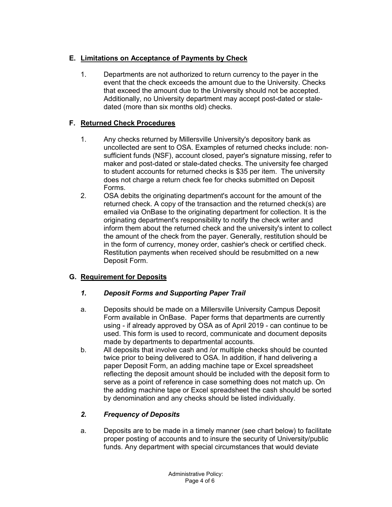# **E. Limitations on Acceptance of Payments by Check**

1. Departments are not authorized to return currency to the payer in the event that the check exceeds the amount due to the University. Checks that exceed the amount due to the University should not be accepted. Additionally, no University department may accept post-dated or staledated (more than six months old) checks.

## **F. Returned Check Procedures**

- 1. Any checks returned by Millersville University's depository bank as uncollected are sent to OSA. Examples of returned checks include: nonsufficient funds (NSF), account closed, payer's signature missing, refer to maker and post-dated or stale-dated checks. The university fee charged to student accounts for returned checks is \$35 per item. The university does not charge a return check fee for checks submitted on Deposit Forms.
- 2. OSA debits the originating department's account for the amount of the returned check. A copy of the transaction and the returned check(s) are emailed via OnBase to the originating department for collection. It is the originating department's responsibility to notify the check writer and inform them about the returned check and the university's intent to collect the amount of the check from the payer. Generally, restitution should be in the form of currency, money order, cashier's check or certified check. Restitution payments when received should be resubmitted on a new Deposit Form.

## **G. Requirement for Deposits**

#### *1. Deposit Forms and Supporting Paper Trail*

- a. Deposits should be made on a Millersville University Campus Deposit Form available in OnBase. Paper forms that departments are currently using - if already approved by OSA as of April 2019 - can continue to be used. This form is used to record, communicate and document deposits made by departments to departmental accounts.
- b. All deposits that involve cash and /or multiple checks should be counted twice prior to being delivered to OSA. In addition, if hand delivering a paper Deposit Form, an adding machine tape or Excel spreadsheet reflecting the deposit amount should be included with the deposit form to serve as a point of reference in case something does not match up. On the adding machine tape or Excel spreadsheet the cash should be sorted by denomination and any checks should be listed individually.

## *2. Frequency of Deposits*

a. Deposits are to be made in a timely manner (see chart below) to facilitate proper posting of accounts and to insure the security of University/public funds. Any department with special circumstances that would deviate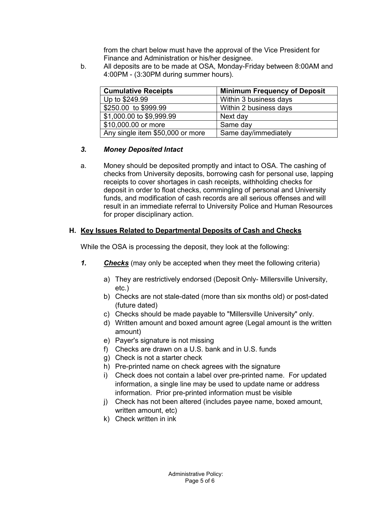from the chart below must have the approval of the Vice President for Finance and Administration or his/her designee.

b. All deposits are to be made at OSA, Monday-Friday between 8:00AM and 4:00PM - (3:30PM during summer hours).

| <b>Cumulative Receipts</b>       | <b>Minimum Frequency of Deposit</b> |
|----------------------------------|-------------------------------------|
| Up to \$249.99                   | Within 3 business days              |
| \$250.00 to \$999.99             | Within 2 business days              |
| \$1,000.00 to \$9,999.99         | Next day                            |
| \$10,000.00 or more              | Same day                            |
| Any single item \$50,000 or more | Same day/immediately                |

#### *3. Money Deposited Intact*

a. Money should be deposited promptly and intact to OSA. The cashing of checks from University deposits, borrowing cash for personal use, lapping receipts to cover shortages in cash receipts, withholding checks for deposit in order to float checks, commingling of personal and University funds, and modification of cash records are all serious offenses and will result in an immediate referral to University Police and Human Resources for proper disciplinary action.

## **H. Key Issues Related to Departmental Deposits of Cash and Checks**

While the OSA is processing the deposit, they look at the following:

- *1. Checks* (may only be accepted when they meet the following criteria)
	- a) They are restrictively endorsed (Deposit Only- Millersville University, etc.)
	- b) Checks are not stale-dated (more than six months old) or post-dated (future dated)
	- c) Checks should be made payable to "Millersville University" only.
	- d) Written amount and boxed amount agree (Legal amount is the written amount)
	- e) Payer's signature is not missing
	- f) Checks are drawn on a U.S. bank and in U.S. funds
	- g) Check is not a starter check
	- h) Pre-printed name on check agrees with the signature
	- i) Check does not contain a label over pre-printed name. For updated information, a single line may be used to update name or address information. Prior pre-printed information must be visible
	- j) Check has not been altered (includes payee name, boxed amount, written amount, etc)
	- k) Check written in ink